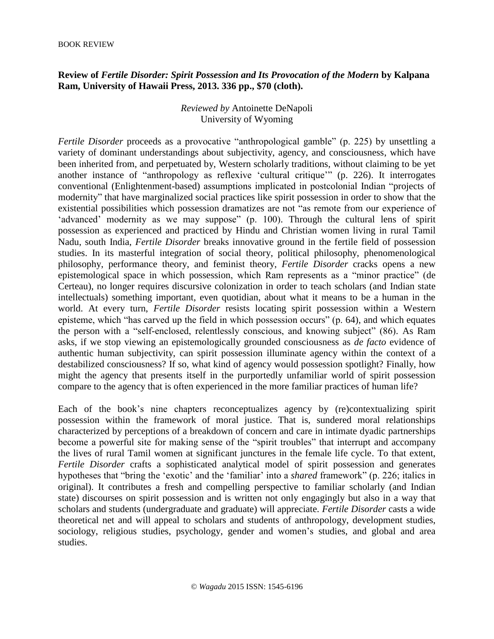## **Review of** *Fertile Disorder: Spirit Possession and Its Provocation of the Modern* **by Kalpana Ram, University of Hawaii Press, 2013. 336 pp., \$70 (cloth).**

## *Reviewed by* Antoinette DeNapoli University of Wyoming

*Fertile Disorder* proceeds as a provocative "anthropological gamble" (p. 225) by unsettling a variety of dominant understandings about subjectivity, agency, and consciousness, which have been inherited from, and perpetuated by, Western scholarly traditions, without claiming to be yet another instance of "anthropology as reflexive 'cultural critique'" (p. 226). It interrogates conventional (Enlightenment-based) assumptions implicated in postcolonial Indian "projects of modernity" that have marginalized social practices like spirit possession in order to show that the existential possibilities which possession dramatizes are not "as remote from our experience of 'advanced' modernity as we may suppose" (p. 100). Through the cultural lens of spirit possession as experienced and practiced by Hindu and Christian women living in rural Tamil Nadu, south India, *Fertile Disorder* breaks innovative ground in the fertile field of possession studies. In its masterful integration of social theory, political philosophy, phenomenological philosophy, performance theory, and feminist theory, *Fertile Disorder* cracks opens a new epistemological space in which possession, which Ram represents as a "minor practice" (de Certeau), no longer requires discursive colonization in order to teach scholars (and Indian state intellectuals) something important, even quotidian, about what it means to be a human in the world. At every turn, *Fertile Disorder* resists locating spirit possession within a Western episteme, which "has carved up the field in which possession occurs" (p. 64), and which equates the person with a "self-enclosed, relentlessly conscious, and knowing subject" (86). As Ram asks, if we stop viewing an epistemologically grounded consciousness as *de facto* evidence of authentic human subjectivity, can spirit possession illuminate agency within the context of a destabilized consciousness? If so, what kind of agency would possession spotlight? Finally, how might the agency that presents itself in the purportedly unfamiliar world of spirit possession compare to the agency that is often experienced in the more familiar practices of human life?

Each of the book's nine chapters reconceptualizes agency by (re)contextualizing spirit possession within the framework of moral justice. That is, sundered moral relationships characterized by perceptions of a breakdown of concern and care in intimate dyadic partnerships become a powerful site for making sense of the "spirit troubles" that interrupt and accompany the lives of rural Tamil women at significant junctures in the female life cycle. To that extent, *Fertile Disorder* crafts a sophisticated analytical model of spirit possession and generates hypotheses that "bring the 'exotic' and the 'familiar' into a *shared* framework" (p. 226; italics in original). It contributes a fresh and compelling perspective to familiar scholarly (and Indian state) discourses on spirit possession and is written not only engagingly but also in a way that scholars and students (undergraduate and graduate) will appreciate. *Fertile Disorder* casts a wide theoretical net and will appeal to scholars and students of anthropology, development studies, sociology, religious studies, psychology, gender and women's studies, and global and area studies.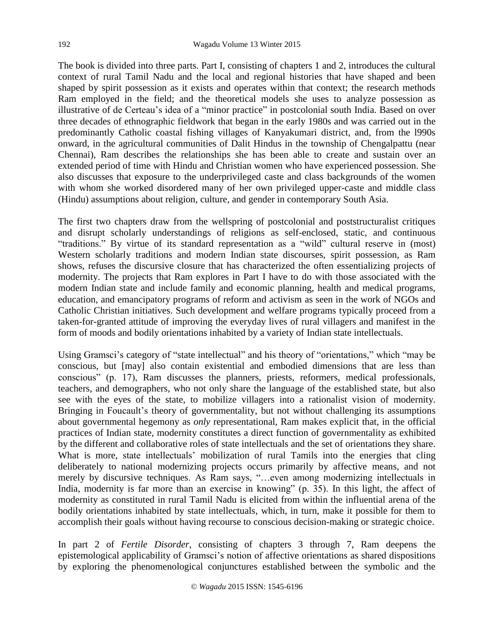The book is divided into three parts. Part I, consisting of chapters 1 and 2, introduces the cultural context of rural Tamil Nadu and the local and regional histories that have shaped and been shaped by spirit possession as it exists and operates within that context; the research methods Ram employed in the field; and the theoretical models she uses to analyze possession as illustrative of de Certeau's idea of a "minor practice" in postcolonial south India. Based on over three decades of ethnographic fieldwork that began in the early 1980s and was carried out in the predominantly Catholic coastal fishing villages of Kanyakumari district, and, from the l990s onward, in the agricultural communities of Dalit Hindus in the township of Chengalpattu (near Chennai), Ram describes the relationships she has been able to create and sustain over an extended period of time with Hindu and Christian women who have experienced possession. She also discusses that exposure to the underprivileged caste and class backgrounds of the women with whom she worked disordered many of her own privileged upper-caste and middle class (Hindu) assumptions about religion, culture, and gender in contemporary South Asia.

The first two chapters draw from the wellspring of postcolonial and poststructuralist critiques and disrupt scholarly understandings of religions as self-enclosed, static, and continuous "traditions." By virtue of its standard representation as a "wild" cultural reserve in (most) Western scholarly traditions and modern Indian state discourses, spirit possession, as Ram shows, refuses the discursive closure that has characterized the often essentializing projects of modernity. The projects that Ram explores in Part I have to do with those associated with the modern Indian state and include family and economic planning, health and medical programs, education, and emancipatory programs of reform and activism as seen in the work of NGOs and Catholic Christian initiatives. Such development and welfare programs typically proceed from a taken-for-granted attitude of improving the everyday lives of rural villagers and manifest in the form of moods and bodily orientations inhabited by a variety of Indian state intellectuals.

Using Gramsci's category of "state intellectual" and his theory of "orientations," which "may be conscious, but [may] also contain existential and embodied dimensions that are less than conscious" (p. 17), Ram discusses the planners, priests, reformers, medical professionals, teachers, and demographers, who not only share the language of the established state, but also see with the eyes of the state, to mobilize villagers into a rationalist vision of modernity. Bringing in Foucault's theory of governmentality, but not without challenging its assumptions about governmental hegemony as *only* representational, Ram makes explicit that, in the official practices of Indian state, modernity constitutes a direct function of governmentality as exhibited by the different and collaborative roles of state intellectuals and the set of orientations they share. What is more, state intellectuals' mobilization of rural Tamils into the energies that cling deliberately to national modernizing projects occurs primarily by affective means, and not merely by discursive techniques. As Ram says, "…even among modernizing intellectuals in India, modernity is far more than an exercise in knowing" (p. 35). In this light, the affect of modernity as constituted in rural Tamil Nadu is elicited from within the influential arena of the bodily orientations inhabited by state intellectuals, which, in turn, make it possible for them to accomplish their goals without having recourse to conscious decision-making or strategic choice.

In part 2 of *Fertile Disorder*, consisting of chapters 3 through 7, Ram deepens the epistemological applicability of Gramsci's notion of affective orientations as shared dispositions by exploring the phenomenological conjunctures established between the symbolic and the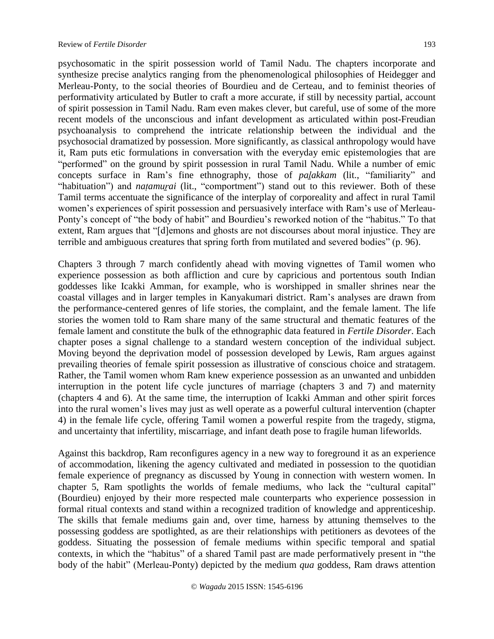psychosomatic in the spirit possession world of Tamil Nadu. The chapters incorporate and synthesize precise analytics ranging from the phenomenological philosophies of Heidegger and Merleau-Ponty, to the social theories of Bourdieu and de Certeau, and to feminist theories of performativity articulated by Butler to craft a more accurate, if still by necessity partial, account of spirit possession in Tamil Nadu. Ram even makes clever, but careful, use of some of the more recent models of the unconscious and infant development as articulated within post-Freudian psychoanalysis to comprehend the intricate relationship between the individual and the psychosocial dramatized by possession. More significantly, as classical anthropology would have it, Ram puts etic formulations in conversation with the everyday emic epistemologies that are "performed" on the ground by spirit possession in rural Tamil Nadu. While a number of emic concepts surface in Ram's fine ethnography, those of *paḻakkam* (lit., "familiarity" and "habituation") and *natamurai* (lit., "comportment") stand out to this reviewer. Both of these Tamil terms accentuate the significance of the interplay of corporeality and affect in rural Tamil women's experiences of spirit possession and persuasively interface with Ram's use of Merleau-Ponty's concept of "the body of habit" and Bourdieu's reworked notion of the "habitus." To that extent, Ram argues that "[d]emons and ghosts are not discourses about moral injustice. They are terrible and ambiguous creatures that spring forth from mutilated and severed bodies" (p. 96).

Chapters 3 through 7 march confidently ahead with moving vignettes of Tamil women who experience possession as both affliction and cure by capricious and portentous south Indian goddesses like Icakki Amman, for example, who is worshipped in smaller shrines near the coastal villages and in larger temples in Kanyakumari district. Ram's analyses are drawn from the performance-centered genres of life stories, the complaint, and the female lament. The life stories the women told to Ram share many of the same structural and thematic features of the female lament and constitute the bulk of the ethnographic data featured in *Fertile Disorder*. Each chapter poses a signal challenge to a standard western conception of the individual subject. Moving beyond the deprivation model of possession developed by Lewis, Ram argues against prevailing theories of female spirit possession as illustrative of conscious choice and stratagem. Rather, the Tamil women whom Ram knew experience possession as an unwanted and unbidden interruption in the potent life cycle junctures of marriage (chapters 3 and 7) and maternity (chapters 4 and 6). At the same time, the interruption of Icakki Amman and other spirit forces into the rural women's lives may just as well operate as a powerful cultural intervention (chapter 4) in the female life cycle, offering Tamil women a powerful respite from the tragedy, stigma, and uncertainty that infertility, miscarriage, and infant death pose to fragile human lifeworlds.

Against this backdrop, Ram reconfigures agency in a new way to foreground it as an experience of accommodation, likening the agency cultivated and mediated in possession to the quotidian female experience of pregnancy as discussed by Young in connection with western women. In chapter 5, Ram spotlights the worlds of female mediums, who lack the "cultural capital" (Bourdieu) enjoyed by their more respected male counterparts who experience possession in formal ritual contexts and stand within a recognized tradition of knowledge and apprenticeship. The skills that female mediums gain and, over time, harness by attuning themselves to the possessing goddess are spotlighted, as are their relationships with petitioners as devotees of the goddess. Situating the possession of female mediums within specific temporal and spatial contexts, in which the "habitus" of a shared Tamil past are made performatively present in "the body of the habit" (Merleau-Ponty) depicted by the medium *qua* goddess, Ram draws attention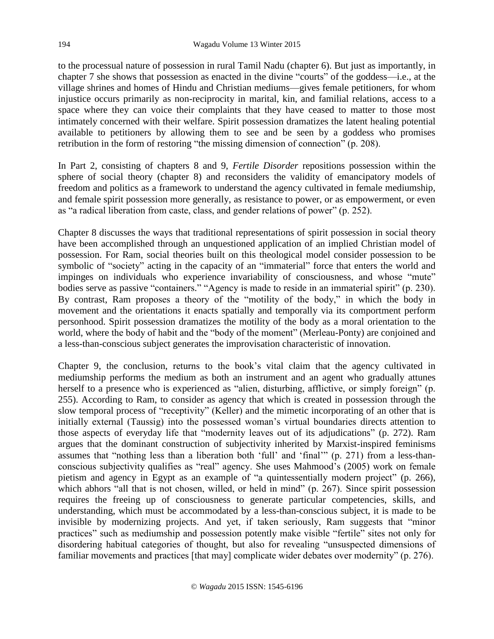to the processual nature of possession in rural Tamil Nadu (chapter 6). But just as importantly, in chapter 7 she shows that possession as enacted in the divine "courts" of the goddess—i.e., at the village shrines and homes of Hindu and Christian mediums—gives female petitioners, for whom injustice occurs primarily as non-reciprocity in marital, kin, and familial relations, access to a space where they can voice their complaints that they have ceased to matter to those most intimately concerned with their welfare. Spirit possession dramatizes the latent healing potential available to petitioners by allowing them to see and be seen by a goddess who promises retribution in the form of restoring "the missing dimension of connection" (p. 208).

In Part 2, consisting of chapters 8 and 9, *Fertile Disorder* repositions possession within the sphere of social theory (chapter 8) and reconsiders the validity of emancipatory models of freedom and politics as a framework to understand the agency cultivated in female mediumship, and female spirit possession more generally, as resistance to power, or as empowerment, or even as "a radical liberation from caste, class, and gender relations of power" (p. 252).

Chapter 8 discusses the ways that traditional representations of spirit possession in social theory have been accomplished through an unquestioned application of an implied Christian model of possession. For Ram, social theories built on this theological model consider possession to be symbolic of "society" acting in the capacity of an "immaterial" force that enters the world and impinges on individuals who experience invariability of consciousness, and whose "mute" bodies serve as passive "containers." "Agency is made to reside in an immaterial spirit" (p. 230). By contrast, Ram proposes a theory of the "motility of the body," in which the body in movement and the orientations it enacts spatially and temporally via its comportment perform personhood. Spirit possession dramatizes the motility of the body as a moral orientation to the world, where the body of habit and the "body of the moment" (Merleau-Ponty) are conjoined and a less-than-conscious subject generates the improvisation characteristic of innovation.

Chapter 9, the conclusion, returns to the book's vital claim that the agency cultivated in mediumship performs the medium as both an instrument and an agent who gradually attunes herself to a presence who is experienced as "alien, disturbing, afflictive, or simply foreign" (p. 255). According to Ram, to consider as agency that which is created in possession through the slow temporal process of "receptivity" (Keller) and the mimetic incorporating of an other that is initially external (Taussig) into the possessed woman's virtual boundaries directs attention to those aspects of everyday life that "modernity leaves out of its adjudications" (p. 272). Ram argues that the dominant construction of subjectivity inherited by Marxist-inspired feminisms assumes that "nothing less than a liberation both 'full' and 'final'" (p. 271) from a less-thanconscious subjectivity qualifies as "real" agency. She uses Mahmood's (2005) work on female pietism and agency in Egypt as an example of "a quintessentially modern project" (p. 266), which abhors "all that is not chosen, willed, or held in mind" (p. 267). Since spirit possession requires the freeing up of consciousness to generate particular competencies, skills, and understanding, which must be accommodated by a less-than-conscious subject, it is made to be invisible by modernizing projects. And yet, if taken seriously, Ram suggests that "minor practices" such as mediumship and possession potently make visible "fertile" sites not only for disordering habitual categories of thought, but also for revealing "unsuspected dimensions of familiar movements and practices [that may] complicate wider debates over modernity" (p. 276).